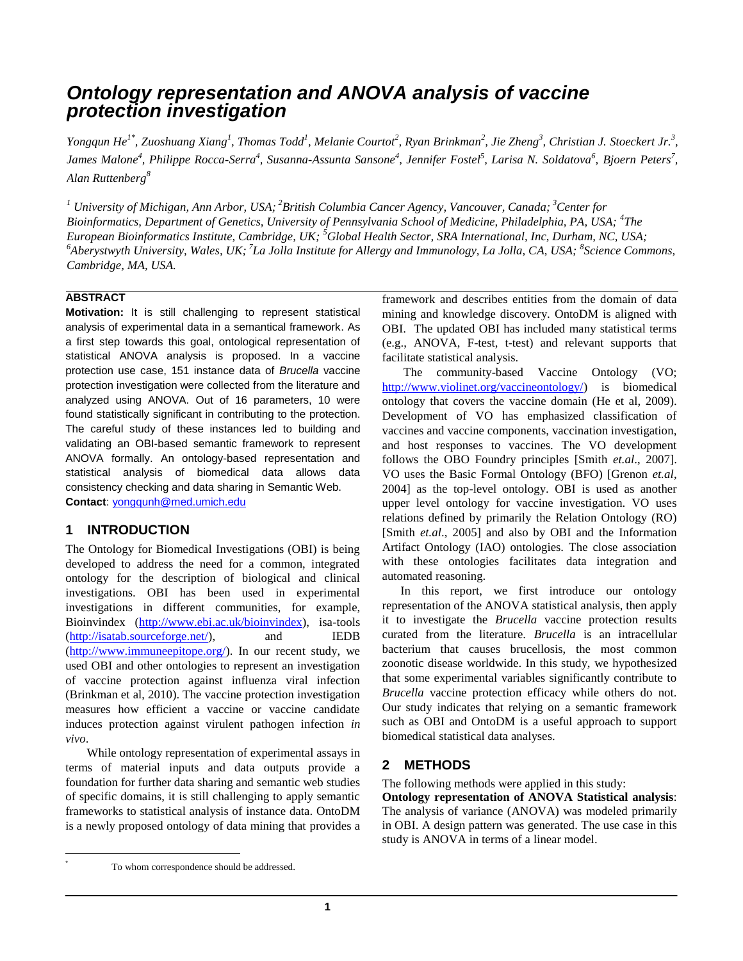# *Ontology representation and ANOVA analysis of vaccine protection investigation*

Yongqun He<sup>1\*</sup>, Zuoshuang Xiang<sup>1</sup>, Thomas Todd<sup>1</sup>, Melanie Courtot<sup>2</sup>, Ryan Brinkman<sup>2</sup>, Jie Zheng<sup>3</sup>, Christian J. Stoeckert Jr.<sup>3</sup>, James Malone<sup>4</sup>, Philippe Rocca-Serra<sup>4</sup>, Susanna-Assunta Sansone<sup>4</sup>, Jennifer Fostel<sup>5</sup>, Larisa N. Soldatova<sup>6</sup>, Bjoern Peters<sup>7</sup>, *Alan Ruttenberg<sup>8</sup>*

*<sup>1</sup> University of Michigan, Ann Arbor, USA; <sup>2</sup>British Columbia Cancer Agency, Vancouver, Canada; <sup>3</sup>Center for Bioinformatics, Department of Genetics, University of Pennsylvania School of Medicine, Philadelphia, PA, USA; <sup>4</sup> The European Bioinformatics Institute, Cambridge, UK; <sup>5</sup>Global Health Sector, SRA International, Inc, Durham, NC, USA; <sup>6</sup>Aberystwyth University, Wales, UK; <sup>7</sup> La Jolla Institute for Allergy and Immunology, La Jolla, CA, USA; <sup>8</sup> Science Commons, Cambridge, MA, USA.*

### **ABSTRACT**

**Motivation:** It is still challenging to represent statistical analysis of experimental data in a semantical framework. As a first step towards this goal, ontological representation of statistical ANOVA analysis is proposed. In a vaccine protection use case, 151 instance data of *Brucella* vaccine protection investigation were collected from the literature and analyzed using ANOVA. Out of 16 parameters, 10 were found statistically significant in contributing to the protection. The careful study of these instances led to building and validating an OBI-based semantic framework to represent ANOVA formally. An ontology-based representation and statistical analysis of biomedical data allows data consistency checking and data sharing in Semantic Web. **Contact**[: yongqunh@med.umich.edu](mailto:yongqunh@med.umich.edu)

## **1 INTRODUCTION**

The Ontology for Biomedical Investigations (OBI) is being developed to address the need for a common, integrated ontology for the description of biological and clinical investigations. OBI has been used in experimental investigations in different communities, for example, Bioinvindex [\(http://www.ebi.ac.uk/bioinvindex\)](http://www.ebi.ac.uk/bioinvindex), isa-tools [\(http://isatab.sourceforge.net/\)](http://isatab.sourceforge.net/), and IEDB [\(http://www.immuneepitope.org/\)](http://www.immuneepitope.org/). In our recent study, we used OBI and other ontologies to represent an investigation of vaccine protection against influenza viral infection (Brinkman et al, 2010). The vaccine protection investigation measures how efficient a vaccine or vaccine candidate induces protection against virulent pathogen infection *in vivo*.

 While ontology representation of experimental assays in terms of material inputs and data outputs provide a foundation for further data sharing and semantic web studies of specific domains, it is still challenging to apply semantic frameworks to statistical analysis of instance data. OntoDM is a newly proposed ontology of data mining that provides a framework and describes entities from the domain of data mining and knowledge discovery. OntoDM is aligned with OBI. The updated OBI has included many statistical terms (e.g., ANOVA, F-test, t-test) and relevant supports that facilitate statistical analysis.

 The community-based Vaccine Ontology (VO; [http://www.violinet.org/vaccineontology/\)](http://www.violinet.org/vaccineontology/) is biomedical ontology that covers the vaccine domain (He et al, 2009). Development of VO has emphasized classification of vaccines and vaccine components, vaccination investigation, and host responses to vaccines. The VO development follows the OBO Foundry principles [Smith *et.al*., 2007]. VO uses the Basic Formal Ontology (BFO) [Grenon *et.al*, 2004] as the top-level ontology. OBI is used as another upper level ontology for vaccine investigation. VO uses relations defined by primarily the Relation Ontology (RO) [Smith *et.al*., 2005] and also by OBI and the Information Artifact Ontology (IAO) ontologies. The close association with these ontologies facilitates data integration and automated reasoning.

 In this report, we first introduce our ontology representation of the ANOVA statistical analysis, then apply it to investigate the *Brucella* vaccine protection results curated from the literature. *Brucella* is an intracellular bacterium that causes brucellosis, the most common zoonotic disease worldwide. In this study, we hypothesized that some experimental variables significantly contribute to *Brucella* vaccine protection efficacy while others do not. Our study indicates that relying on a semantic framework such as OBI and OntoDM is a useful approach to support biomedical statistical data analyses.

## **2 METHODS**

The following methods were applied in this study:

**Ontology representation of ANOVA Statistical analysis**: The analysis of variance (ANOVA) was modeled primarily in OBI. A design pattern was generated. The use case in this study is ANOVA in terms of a linear model.

 $\overline{\phantom{a}}$ \*

To whom correspondence should be addressed.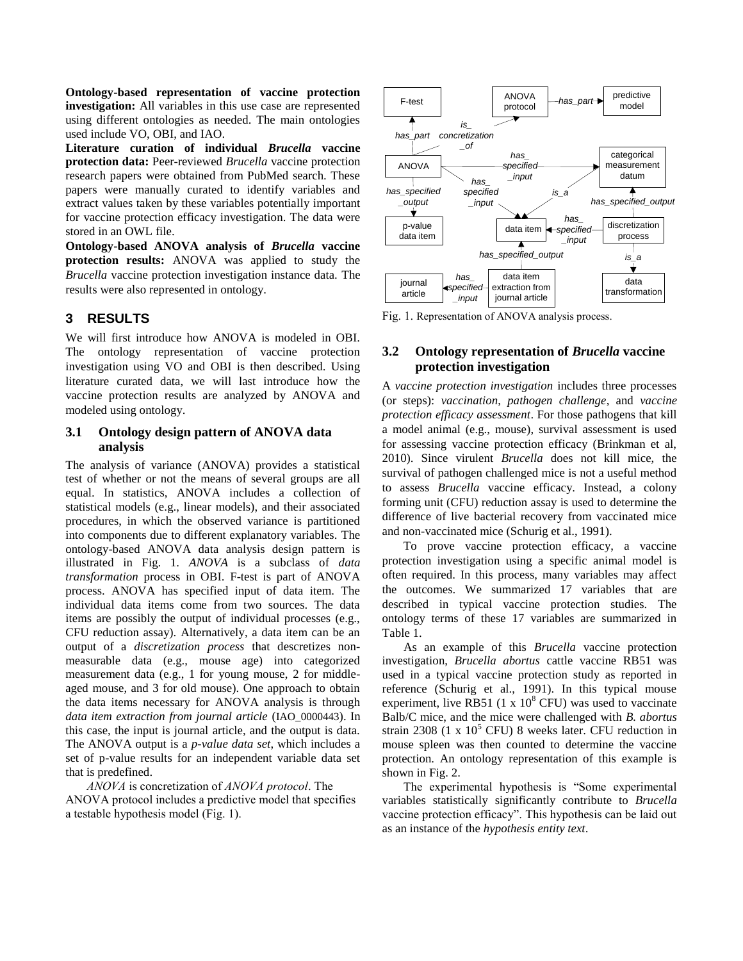**Ontology-based representation of vaccine protection investigation:** All variables in this use case are represented using different ontologies as needed. The main ontologies used include VO, OBI, and IAO.

**Literature curation of individual** *Brucella* **vaccine protection data:** Peer-reviewed *Brucella* vaccine protection research papers were obtained from PubMed search. These papers were manually curated to identify variables and extract values taken by these variables potentially important for vaccine protection efficacy investigation. The data were stored in an OWL file.

**Ontology-based ANOVA analysis of** *Brucella* **vaccine protection results:** ANOVA was applied to study the *Brucella* vaccine protection investigation instance data. The results were also represented in ontology.

### **3 RESULTS**

We will first introduce how ANOVA is modeled in OBI. The ontology representation of vaccine protection investigation using VO and OBI is then described. Using literature curated data, we will last introduce how the vaccine protection results are analyzed by ANOVA and modeled using ontology.

#### **3.1 Ontology design pattern of ANOVA data analysis**

The analysis of variance (ANOVA) provides a statistical test of whether or not the means of several groups are all equal. In statistics, ANOVA includes a collection of statistical models (e.g., linear models), and their associated procedures, in which the observed variance is partitioned into components due to different explanatory variables. The ontology-based ANOVA data analysis design pattern is illustrated in Fig. 1. *ANOVA* is a subclass of *data transformation* process in OBI. F-test is part of ANOVA process. ANOVA has specified input of data item. The individual data items come from two sources. The data items are possibly the output of individual processes (e.g., CFU reduction assay). Alternatively, a data item can be an output of a *discretization process* that descretizes nonmeasurable data (e.g., mouse age) into categorized measurement data (e.g., 1 for young mouse, 2 for middleaged mouse, and 3 for old mouse). One approach to obtain the data items necessary for ANOVA analysis is through *data item extraction from journal article* (IAO\_0000443). In this case, the input is journal article, and the output is data. The ANOVA output is a *p-value data set*, which includes a set of p-value results for an independent variable data set that is predefined.

 *ANOVA* is concretization of *ANOVA protocol*. The ANOVA protocol includes a predictive model that specifies a testable hypothesis model (Fig. 1).



Fig. 1. Representation of ANOVA analysis process.

#### **3.2 Ontology representation of** *Brucella* **vaccine protection investigation**

A *vaccine protection investigation* includes three processes (or steps): *vaccination*, *pathogen challenge*, and *vaccine protection efficacy assessment*. For those pathogens that kill a model animal (e.g., mouse), survival assessment is used for assessing vaccine protection efficacy (Brinkman et al, 2010). Since virulent *Brucella* does not kill mice, the survival of pathogen challenged mice is not a useful method to assess *Brucella* vaccine efficacy. Instead, a colony forming unit (CFU) reduction assay is used to determine the difference of live bacterial recovery from vaccinated mice and non-vaccinated mice (Schurig et al., 1991).

 To prove vaccine protection efficacy, a vaccine protection investigation using a specific animal model is often required. In this process, many variables may affect the outcomes. We summarized 17 variables that are described in typical vaccine protection studies. The ontology terms of these 17 variables are summarized in Table 1.

 As an example of this *Brucella* vaccine protection investigation, *Brucella abortus* cattle vaccine RB51 was used in a typical vaccine protection study as reported in reference (Schurig et al., 1991). In this typical mouse experiment, live RB51 (1 x  $10^8$  CFU) was used to vaccinate Balb/C mice, and the mice were challenged with *B. abortus* strain 2308 (1 x  $10<sup>5</sup>$  CFU) 8 weeks later. CFU reduction in mouse spleen was then counted to determine the vaccine protection. An ontology representation of this example is shown in Fig. 2.

 The experimental hypothesis is "Some experimental variables statistically significantly contribute to *Brucella* vaccine protection efficacy". This hypothesis can be laid out as an instance of the *hypothesis entity text*.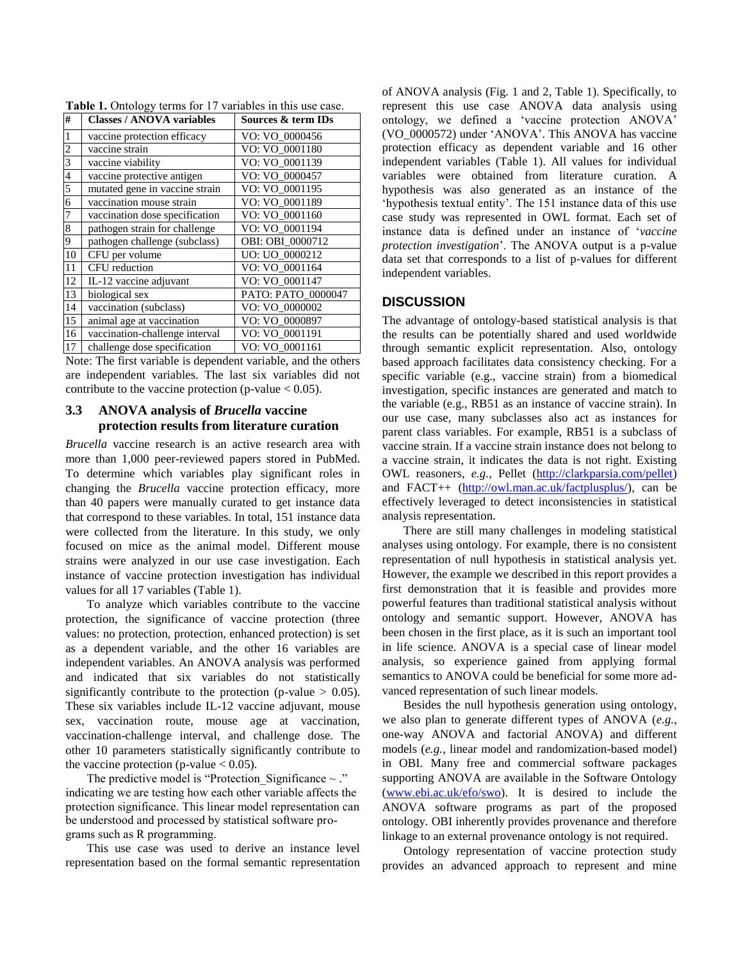| #  | <b>Classes / ANOVA variables</b> | Sources & term IDs |
|----|----------------------------------|--------------------|
|    | vaccine protection efficacy      | VO: VO 0000456     |
| 2  | vaccine strain                   | VO: VO 0001180     |
| 3  | vaccine viability                | VO: VO_0001139     |
| 4  | vaccine protective antigen       | VO: VO_0000457     |
| 5  | mutated gene in vaccine strain   | VO: VO_0001195     |
| 6  | vaccination mouse strain         | VO: VO 0001189     |
| 7  | vaccination dose specification   | VO: VO_0001160     |
| 8  | pathogen strain for challenge    | VO: VO 0001194     |
| 9  | pathogen challenge (subclass)    | OBI: OBI 0000712   |
| 10 | CFU per volume                   | UO: UO 0000212     |
| 11 | CFU reduction                    | VO: VO_0001164     |
| 12 | IL-12 vaccine adjuvant           | VO: VO_0001147     |
| 13 | biological sex                   | PATO: PATO_0000047 |
| 14 | vaccination (subclass)           | VO: VO 0000002     |
| 15 | animal age at vaccination        | VO: VO 0000897     |
| 16 | vaccination-challenge interval   | VO: VO_0001191     |
| 17 | challenge dose specification     | VO: VO 0001161     |

**Table 1.** Ontology terms for 17 variables in this use case.

Note: The first variable is dependent variable, and the others are independent variables. The last six variables did not contribute to the vaccine protection (p-value  $< 0.05$ ).

#### **3.3 ANOVA analysis of** *Brucella* **vaccine protection results from literature curation**

*Brucella* vaccine research is an active research area with more than 1,000 peer-reviewed papers stored in PubMed. To determine which variables play significant roles in changing the *Brucella* vaccine protection efficacy, more than 40 papers were manually curated to get instance data that correspond to these variables. In total, 151 instance data were collected from the literature. In this study, we only focused on mice as the animal model. Different mouse strains were analyzed in our use case investigation. Each instance of vaccine protection investigation has individual values for all 17 variables (Table 1).

 To analyze which variables contribute to the vaccine protection, the significance of vaccine protection (three values: no protection, protection, enhanced protection) is set as a dependent variable, and the other 16 variables are independent variables. An ANOVA analysis was performed and indicated that six variables do not statistically significantly contribute to the protection (p-value  $> 0.05$ ). These six variables include IL-12 vaccine adjuvant, mouse sex, vaccination route, mouse age at vaccination, vaccination-challenge interval, and challenge dose. The other 10 parameters statistically significantly contribute to the vaccine protection (p-value  $< 0.05$ ).

The predictive model is "Protection Significance  $\sim$ ." indicating we are testing how each other variable affects the protection significance. This linear model representation can be understood and processed by statistical software programs such as R programming.

 This use case was used to derive an instance level representation based on the formal semantic representation of ANOVA analysis (Fig. 1 and 2, Table 1). Specifically, to represent this use case ANOVA data analysis using ontology, we defined a "vaccine protection ANOVA" (VO\_0000572) under "ANOVA". This ANOVA has vaccine protection efficacy as dependent variable and 16 other independent variables (Table 1). All values for individual variables were obtained from literature curation. A hypothesis was also generated as an instance of the 'hypothesis textual entity'. The 151 instance data of this use case study was represented in OWL format. Each set of instance data is defined under an instance of "*vaccine protection investigation*". The ANOVA output is a p-value data set that corresponds to a list of p-values for different independent variables.

### **DISCUSSION**

The advantage of ontology-based statistical analysis is that the results can be potentially shared and used worldwide through semantic explicit representation. Also, ontology based approach facilitates data consistency checking. For a specific variable (e.g., vaccine strain) from a biomedical investigation, specific instances are generated and match to the variable (e.g., RB51 as an instance of vaccine strain). In our use case, many subclasses also act as instances for parent class variables. For example, RB51 is a subclass of vaccine strain. If a vaccine strain instance does not belong to a vaccine strain, it indicates the data is not right. Existing OWL reasoners, *e.g.*, Pellet [\(http://clarkparsia.com/pellet\)](http://clarkparsia.com/pellet) and FACT++ [\(http://owl.man.ac.uk/factplusplus/\)](http://owl.man.ac.uk/factplusplus/), can be effectively leveraged to detect inconsistencies in statistical analysis representation.

 There are still many challenges in modeling statistical analyses using ontology. For example, there is no consistent representation of null hypothesis in statistical analysis yet. However, the example we described in this report provides a first demonstration that it is feasible and provides more powerful features than traditional statistical analysis without ontology and semantic support. However, ANOVA has been chosen in the first place, as it is such an important tool in life science. ANOVA is a special case of linear model analysis, so experience gained from applying formal semantics to ANOVA could be beneficial for some more advanced representation of such linear models.

 Besides the null hypothesis generation using ontology, we also plan to generate different types of ANOVA (*e.g.*, one-way ANOVA and factorial ANOVA) and different models (*e.g.*, linear model and randomization-based model) in OBI. Many free and commercial software packages supporting ANOVA are available in the Software Ontology [\(www.ebi.ac.uk/efo/swo\)](http://www.ebi.ac.uk/efo/swo). It is desired to include the ANOVA software programs as part of the proposed ontology. OBI inherently provides provenance and therefore linkage to an external provenance ontology is not required.

 Ontology representation of vaccine protection study provides an advanced approach to represent and mine